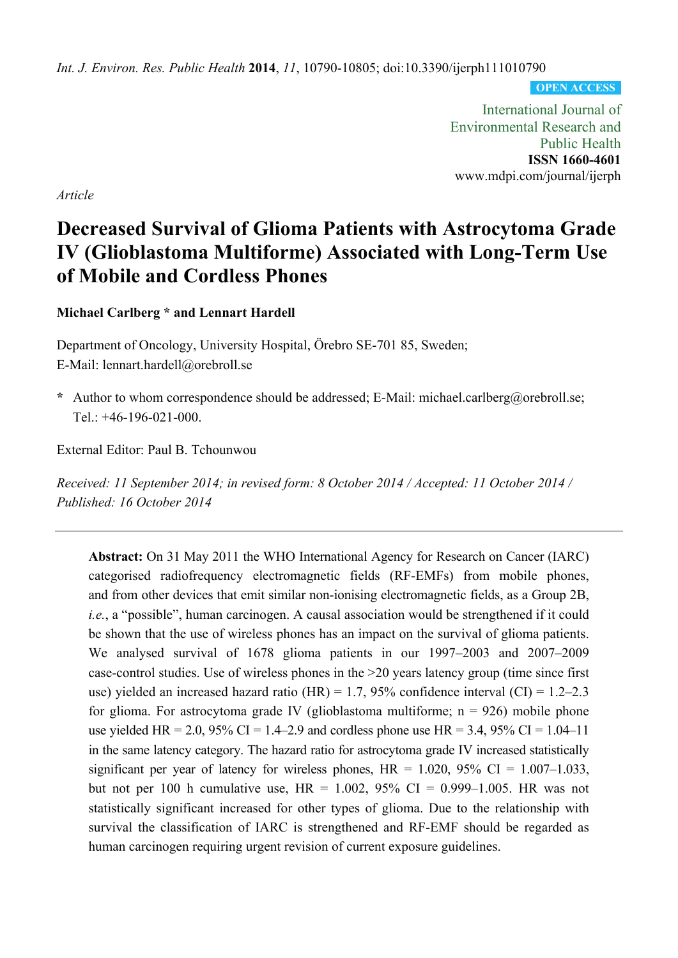*Int. J. Environ. Res. Public Health* **2014**, *11*, 10790-10805; doi:10.3390/ijerph111010790

**OPEN ACCESS**

International Journal of Environmental Research and Public Health **ISSN 1660-4601**  www.mdpi.com/journal/ijerph

*Article* 

# **Decreased Survival of Glioma Patients with Astrocytoma Grade IV (Glioblastoma Multiforme) Associated with Long-Term Use of Mobile and Cordless Phones**

**Michael Carlberg \* and Lennart Hardell** 

Department of Oncology, University Hospital, Örebro SE-701 85, Sweden; E-Mail: lennart.hardell@orebroll.se

**\*** Author to whom correspondence should be addressed; E-Mail: michael.carlberg@orebroll.se; Tel.: +46-196-021-000.

External Editor: Paul B. Tchounwou

*Received: 11 September 2014; in revised form: 8 October 2014 / Accepted: 11 October 2014 / Published: 16 October 2014* 

**Abstract:** On 31 May 2011 the WHO International Agency for Research on Cancer (IARC) categorised radiofrequency electromagnetic fields (RF-EMFs) from mobile phones, and from other devices that emit similar non-ionising electromagnetic fields, as a Group 2B, *i.e.*, a "possible", human carcinogen. A causal association would be strengthened if it could be shown that the use of wireless phones has an impact on the survival of glioma patients. We analysed survival of 1678 glioma patients in our 1997–2003 and 2007–2009 case-control studies. Use of wireless phones in the >20 years latency group (time since first use) yielded an increased hazard ratio (HR) = 1.7, 95% confidence interval (CI) = 1.2–2.3 for glioma. For astrocytoma grade IV (glioblastoma multiforme;  $n = 926$ ) mobile phone use yielded HR = 2.0, 95% CI = 1.4–2.9 and cordless phone use HR = 3.4, 95% CI = 1.04–11 in the same latency category. The hazard ratio for astrocytoma grade IV increased statistically significant per year of latency for wireless phones,  $HR = 1.020$ ,  $95\%$  CI = 1.007–1.033, but not per 100 h cumulative use,  $HR = 1.002$ , 95% CI = 0.999–1.005. HR was not statistically significant increased for other types of glioma. Due to the relationship with survival the classification of IARC is strengthened and RF-EMF should be regarded as human carcinogen requiring urgent revision of current exposure guidelines.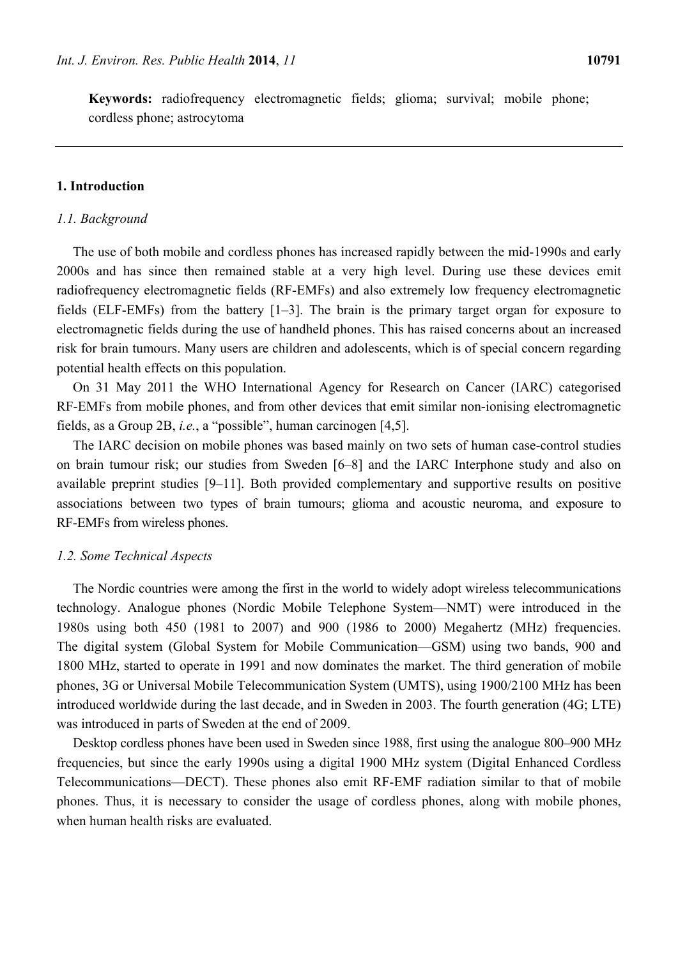**Keywords:** radiofrequency electromagnetic fields; glioma; survival; mobile phone; cordless phone; astrocytoma

# **1. Introduction**

#### *1.1. Background*

The use of both mobile and cordless phones has increased rapidly between the mid-1990s and early 2000s and has since then remained stable at a very high level. During use these devices emit radiofrequency electromagnetic fields (RF-EMFs) and also extremely low frequency electromagnetic fields (ELF-EMFs) from the battery [1–3]. The brain is the primary target organ for exposure to electromagnetic fields during the use of handheld phones. This has raised concerns about an increased risk for brain tumours. Many users are children and adolescents, which is of special concern regarding potential health effects on this population.

On 31 May 2011 the WHO International Agency for Research on Cancer (IARC) categorised RF-EMFs from mobile phones, and from other devices that emit similar non-ionising electromagnetic fields, as a Group 2B, *i.e.*, a "possible", human carcinogen [4,5].

The IARC decision on mobile phones was based mainly on two sets of human case-control studies on brain tumour risk; our studies from Sweden [6–8] and the IARC Interphone study and also on available preprint studies [9–11]. Both provided complementary and supportive results on positive associations between two types of brain tumours; glioma and acoustic neuroma, and exposure to RF-EMFs from wireless phones.

## *1.2. Some Technical Aspects*

The Nordic countries were among the first in the world to widely adopt wireless telecommunications technology. Analogue phones (Nordic Mobile Telephone System—NMT) were introduced in the 1980s using both 450 (1981 to 2007) and 900 (1986 to 2000) Megahertz (MHz) frequencies. The digital system (Global System for Mobile Communication—GSM) using two bands, 900 and 1800 MHz, started to operate in 1991 and now dominates the market. The third generation of mobile phones, 3G or Universal Mobile Telecommunication System (UMTS), using 1900/2100 MHz has been introduced worldwide during the last decade, and in Sweden in 2003. The fourth generation (4G; LTE) was introduced in parts of Sweden at the end of 2009.

Desktop cordless phones have been used in Sweden since 1988, first using the analogue 800–900 MHz frequencies, but since the early 1990s using a digital 1900 MHz system (Digital Enhanced Cordless Telecommunications—DECT). These phones also emit RF-EMF radiation similar to that of mobile phones. Thus, it is necessary to consider the usage of cordless phones, along with mobile phones, when human health risks are evaluated.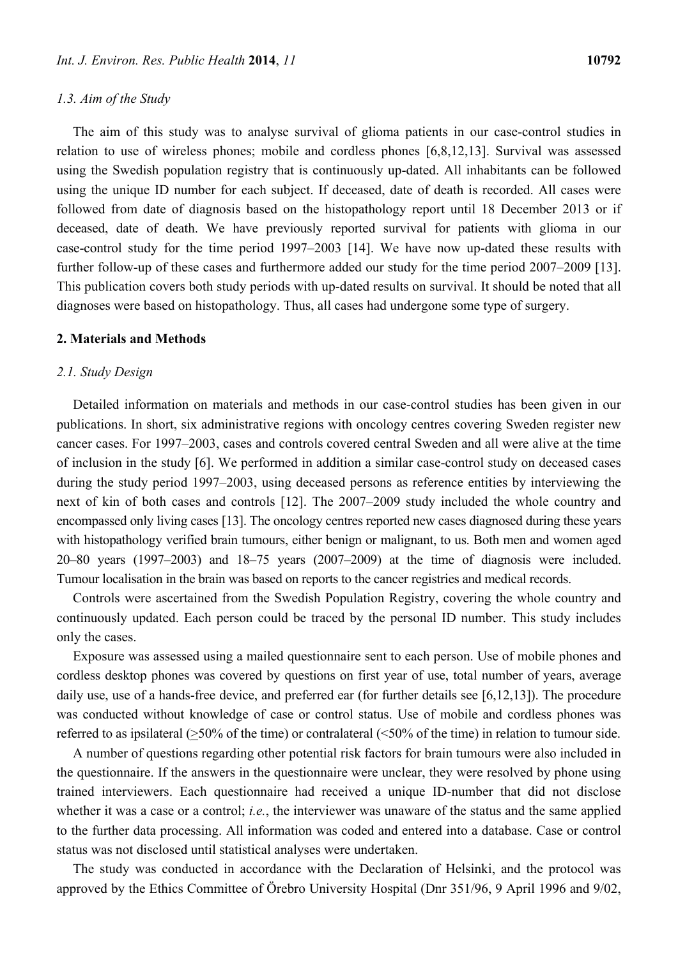# *1.3. Aim of the Study*

The aim of this study was to analyse survival of glioma patients in our case-control studies in relation to use of wireless phones; mobile and cordless phones [6,8,12,13]. Survival was assessed using the Swedish population registry that is continuously up-dated. All inhabitants can be followed using the unique ID number for each subject. If deceased, date of death is recorded. All cases were followed from date of diagnosis based on the histopathology report until 18 December 2013 or if deceased, date of death. We have previously reported survival for patients with glioma in our case-control study for the time period 1997–2003 [14]. We have now up-dated these results with further follow-up of these cases and furthermore added our study for the time period 2007–2009 [13]. This publication covers both study periods with up-dated results on survival. It should be noted that all diagnoses were based on histopathology. Thus, all cases had undergone some type of surgery.

#### **2. Materials and Methods**

## *2.1. Study Design*

Detailed information on materials and methods in our case-control studies has been given in our publications. In short, six administrative regions with oncology centres covering Sweden register new cancer cases. For 1997–2003, cases and controls covered central Sweden and all were alive at the time of inclusion in the study [6]. We performed in addition a similar case-control study on deceased cases during the study period 1997–2003, using deceased persons as reference entities by interviewing the next of kin of both cases and controls [12]. The 2007–2009 study included the whole country and encompassed only living cases [13]. The oncology centres reported new cases diagnosed during these years with histopathology verified brain tumours, either benign or malignant, to us. Both men and women aged 20–80 years (1997–2003) and 18–75 years (2007–2009) at the time of diagnosis were included. Tumour localisation in the brain was based on reports to the cancer registries and medical records.

Controls were ascertained from the Swedish Population Registry, covering the whole country and continuously updated. Each person could be traced by the personal ID number. This study includes only the cases.

Exposure was assessed using a mailed questionnaire sent to each person. Use of mobile phones and cordless desktop phones was covered by questions on first year of use, total number of years, average daily use, use of a hands-free device, and preferred ear (for further details see [6,12,13]). The procedure was conducted without knowledge of case or control status. Use of mobile and cordless phones was referred to as ipsilateral (>50% of the time) or contralateral (<50% of the time) in relation to tumour side.

A number of questions regarding other potential risk factors for brain tumours were also included in the questionnaire. If the answers in the questionnaire were unclear, they were resolved by phone using trained interviewers. Each questionnaire had received a unique ID-number that did not disclose whether it was a case or a control; *i.e.*, the interviewer was unaware of the status and the same applied to the further data processing. All information was coded and entered into a database. Case or control status was not disclosed until statistical analyses were undertaken.

The study was conducted in accordance with the Declaration of Helsinki, and the protocol was approved by the Ethics Committee of Örebro University Hospital (Dnr 351/96, 9 April 1996 and 9/02,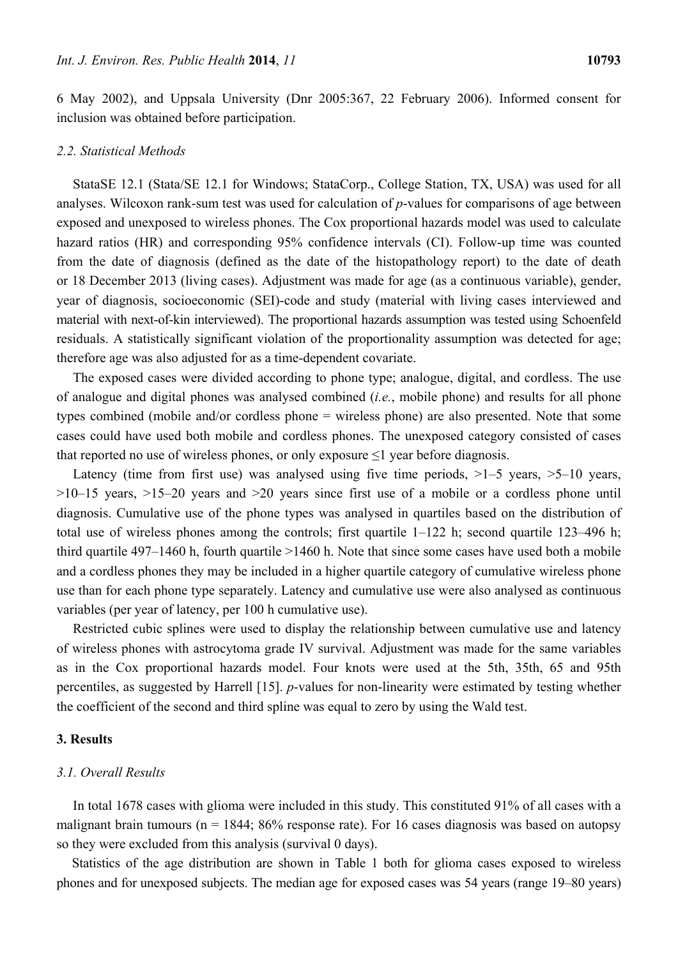6 May 2002), and Uppsala University (Dnr 2005:367, 22 February 2006). Informed consent for inclusion was obtained before participation.

## *2.2. Statistical Methods*

StataSE 12.1 (Stata/SE 12.1 for Windows; StataCorp., College Station, TX, USA) was used for all analyses. Wilcoxon rank-sum test was used for calculation of *p*-values for comparisons of age between exposed and unexposed to wireless phones. The Cox proportional hazards model was used to calculate hazard ratios (HR) and corresponding 95% confidence intervals (CI). Follow-up time was counted from the date of diagnosis (defined as the date of the histopathology report) to the date of death or 18 December 2013 (living cases). Adjustment was made for age (as a continuous variable), gender, year of diagnosis, socioeconomic (SEI)-code and study (material with living cases interviewed and material with next-of-kin interviewed). The proportional hazards assumption was tested using Schoenfeld residuals. A statistically significant violation of the proportionality assumption was detected for age; therefore age was also adjusted for as a time-dependent covariate.

The exposed cases were divided according to phone type; analogue, digital, and cordless. The use of analogue and digital phones was analysed combined (*i.e.*, mobile phone) and results for all phone types combined (mobile and/or cordless phone = wireless phone) are also presented. Note that some cases could have used both mobile and cordless phones. The unexposed category consisted of cases that reported no use of wireless phones, or only exposure  $\leq 1$  year before diagnosis.

Latency (time from first use) was analysed using five time periods,  $>1-5$  years,  $>5-10$  years,  $>10-15$  years,  $>15-20$  years and  $>20$  years since first use of a mobile or a cordless phone until diagnosis. Cumulative use of the phone types was analysed in quartiles based on the distribution of total use of wireless phones among the controls; first quartile 1–122 h; second quartile 123–496 h; third quartile 497–1460 h, fourth quartile >1460 h. Note that since some cases have used both a mobile and a cordless phones they may be included in a higher quartile category of cumulative wireless phone use than for each phone type separately. Latency and cumulative use were also analysed as continuous variables (per year of latency, per 100 h cumulative use).

Restricted cubic splines were used to display the relationship between cumulative use and latency of wireless phones with astrocytoma grade IV survival. Adjustment was made for the same variables as in the Cox proportional hazards model. Four knots were used at the 5th, 35th, 65 and 95th percentiles, as suggested by Harrell [15]. *p*-values for non-linearity were estimated by testing whether the coefficient of the second and third spline was equal to zero by using the Wald test.

### **3. Results**

# *3.1. Overall Results*

In total 1678 cases with glioma were included in this study. This constituted 91% of all cases with a malignant brain tumours ( $n = 1844$ ; 86% response rate). For 16 cases diagnosis was based on autopsy so they were excluded from this analysis (survival 0 days).

Statistics of the age distribution are shown in Table 1 both for glioma cases exposed to wireless phones and for unexposed subjects. The median age for exposed cases was 54 years (range 19–80 years)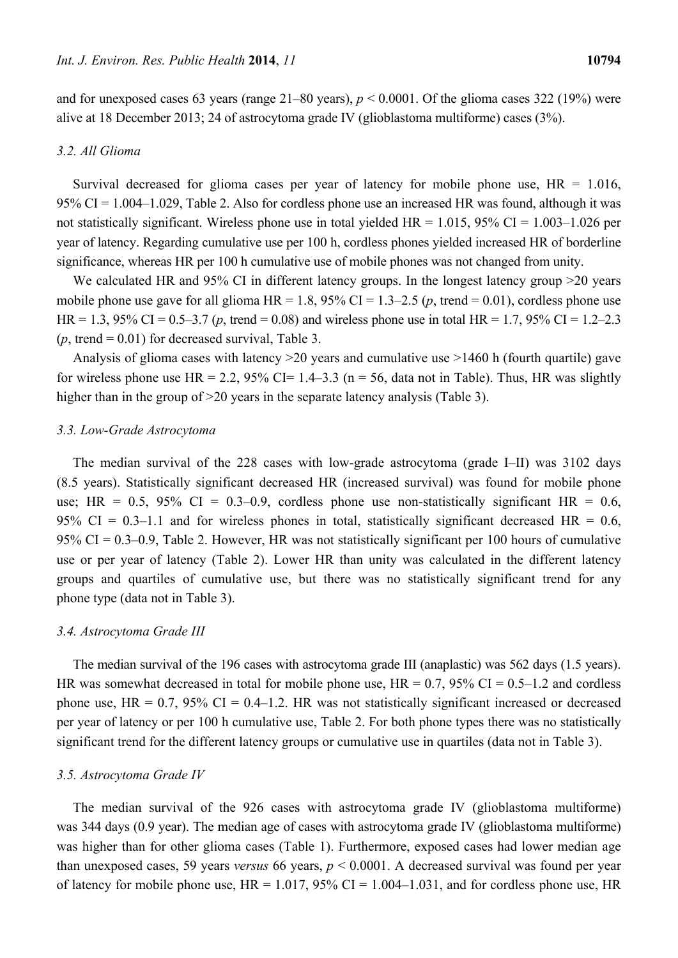and for unexposed cases 63 years (range  $21-80$  years),  $p < 0.0001$ . Of the glioma cases 322 (19%) were alive at 18 December 2013; 24 of astrocytoma grade IV (glioblastoma multiforme) cases (3%).

# *3.2. All Glioma*

Survival decreased for glioma cases per year of latency for mobile phone use,  $HR = 1.016$ , 95% CI = 1.004–1.029, Table 2. Also for cordless phone use an increased HR was found, although it was not statistically significant. Wireless phone use in total yielded  $HR = 1.015$ , 95% CI = 1.003–1.026 per year of latency. Regarding cumulative use per 100 h, cordless phones yielded increased HR of borderline significance, whereas HR per 100 h cumulative use of mobile phones was not changed from unity.

We calculated HR and 95% CI in different latency groups. In the longest latency group >20 years mobile phone use gave for all glioma HR = 1.8,  $95\%$  CI = 1.3–2.5 (*p*, trend = 0.01), cordless phone use HR = 1.3, 95% CI = 0.5–3.7 (*p*, trend = 0.08) and wireless phone use in total HR = 1.7, 95% CI = 1.2–2.3  $(p, \text{trend} = 0.01)$  for decreased survival, Table 3.

Analysis of glioma cases with latency >20 years and cumulative use >1460 h (fourth quartile) gave for wireless phone use  $HR = 2.2$ , 95% CI= 1.4–3.3 (n = 56, data not in Table). Thus, HR was slightly higher than in the group of  $>20$  years in the separate latency analysis (Table 3).

## *3.3. Low-Grade Astrocytoma*

The median survival of the 228 cases with low-grade astrocytoma (grade I–II) was 3102 days (8.5 years). Statistically significant decreased HR (increased survival) was found for mobile phone use; HR =  $0.5$ ,  $95\%$  CI =  $0.3-0.9$ , cordless phone use non-statistically significant HR =  $0.6$ , 95% CI = 0.3–1.1 and for wireless phones in total, statistically significant decreased HR = 0.6, 95% CI = 0.3–0.9, Table 2. However, HR was not statistically significant per 100 hours of cumulative use or per year of latency (Table 2). Lower HR than unity was calculated in the different latency groups and quartiles of cumulative use, but there was no statistically significant trend for any phone type (data not in Table 3).

#### *3.4. Astrocytoma Grade III*

The median survival of the 196 cases with astrocytoma grade III (anaplastic) was 562 days (1.5 years). HR was somewhat decreased in total for mobile phone use,  $HR = 0.7$ , 95% CI = 0.5–1.2 and cordless phone use,  $HR = 0.7$ , 95% CI = 0.4–1.2. HR was not statistically significant increased or decreased per year of latency or per 100 h cumulative use, Table 2. For both phone types there was no statistically significant trend for the different latency groups or cumulative use in quartiles (data not in Table 3).

## *3.5. Astrocytoma Grade IV*

The median survival of the 926 cases with astrocytoma grade IV (glioblastoma multiforme) was 344 days (0.9 year). The median age of cases with astrocytoma grade IV (glioblastoma multiforme) was higher than for other glioma cases (Table 1). Furthermore, exposed cases had lower median age than unexposed cases, 59 years *versus* 66 years, *p* < 0.0001. A decreased survival was found per year of latency for mobile phone use,  $HR = 1.017$ , 95% CI = 1.004–1.031, and for cordless phone use, HR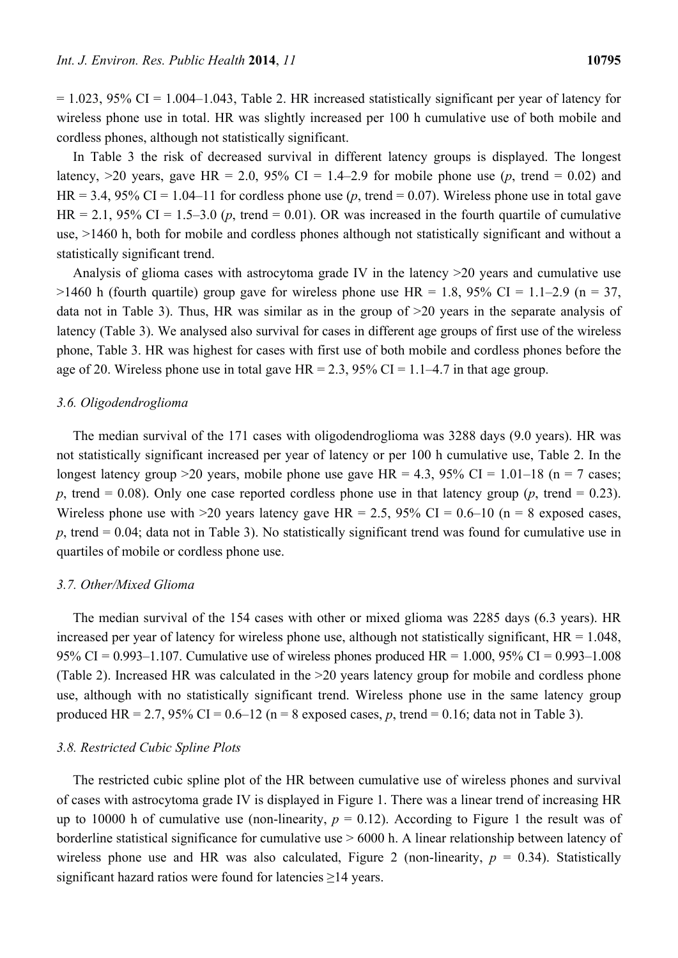$= 1.023$ , 95% CI = 1.004–1.043, Table 2. HR increased statistically significant per year of latency for wireless phone use in total. HR was slightly increased per 100 h cumulative use of both mobile and cordless phones, although not statistically significant.

In Table 3 the risk of decreased survival in different latency groups is displayed. The longest latency,  $>20$  years, gave HR = 2.0, 95% CI = 1.4–2.9 for mobile phone use (*p*, trend = 0.02) and HR = 3.4, 95% CI = 1.04–11 for cordless phone use  $(p, \text{ trend} = 0.07)$ . Wireless phone use in total gave HR = 2.1, 95% CI = 1.5–3.0 ( $p$ , trend = 0.01). OR was increased in the fourth quartile of cumulative use, >1460 h, both for mobile and cordless phones although not statistically significant and without a statistically significant trend.

Analysis of glioma cases with astrocytoma grade IV in the latency >20 years and cumulative use  $>1460$  h (fourth quartile) group gave for wireless phone use HR = 1.8, 95% CI = 1.1–2.9 (n = 37, data not in Table 3). Thus, HR was similar as in the group of >20 years in the separate analysis of latency (Table 3). We analysed also survival for cases in different age groups of first use of the wireless phone, Table 3. HR was highest for cases with first use of both mobile and cordless phones before the age of 20. Wireless phone use in total gave  $HR = 2.3$ , 95% CI = 1.1–4.7 in that age group.

## *3.6. Oligodendroglioma*

The median survival of the 171 cases with oligodendroglioma was 3288 days (9.0 years). HR was not statistically significant increased per year of latency or per 100 h cumulative use, Table 2. In the longest latency group >20 years, mobile phone use gave  $HR = 4.3$ , 95% CI = 1.01–18 (n = 7 cases; *p*, trend = 0.08). Only one case reported cordless phone use in that latency group (*p*, trend = 0.23). Wireless phone use with  $>20$  years latency gave HR = 2.5, 95% CI = 0.6–10 (n = 8 exposed cases,  $p$ , trend = 0.04; data not in Table 3). No statistically significant trend was found for cumulative use in quartiles of mobile or cordless phone use.

## *3.7. Other/Mixed Glioma*

The median survival of the 154 cases with other or mixed glioma was 2285 days (6.3 years). HR increased per year of latency for wireless phone use, although not statistically significant,  $HR = 1.048$ , 95% CI = 0.993–1.107. Cumulative use of wireless phones produced HR = 1.000, 95% CI = 0.993–1.008 (Table 2). Increased HR was calculated in the >20 years latency group for mobile and cordless phone use, although with no statistically significant trend. Wireless phone use in the same latency group produced HR = 2.7, 95% CI =  $0.6-12$  (n = 8 exposed cases, p, trend =  $0.16$ ; data not in Table 3).

#### *3.8. Restricted Cubic Spline Plots*

The restricted cubic spline plot of the HR between cumulative use of wireless phones and survival of cases with astrocytoma grade IV is displayed in Figure 1. There was a linear trend of increasing HR up to 10000 h of cumulative use (non-linearity,  $p = 0.12$ ). According to Figure 1 the result was of borderline statistical significance for cumulative use > 6000 h. A linear relationship between latency of wireless phone use and HR was also calculated, Figure 2 (non-linearity,  $p = 0.34$ ). Statistically significant hazard ratios were found for latencies ≥14 years.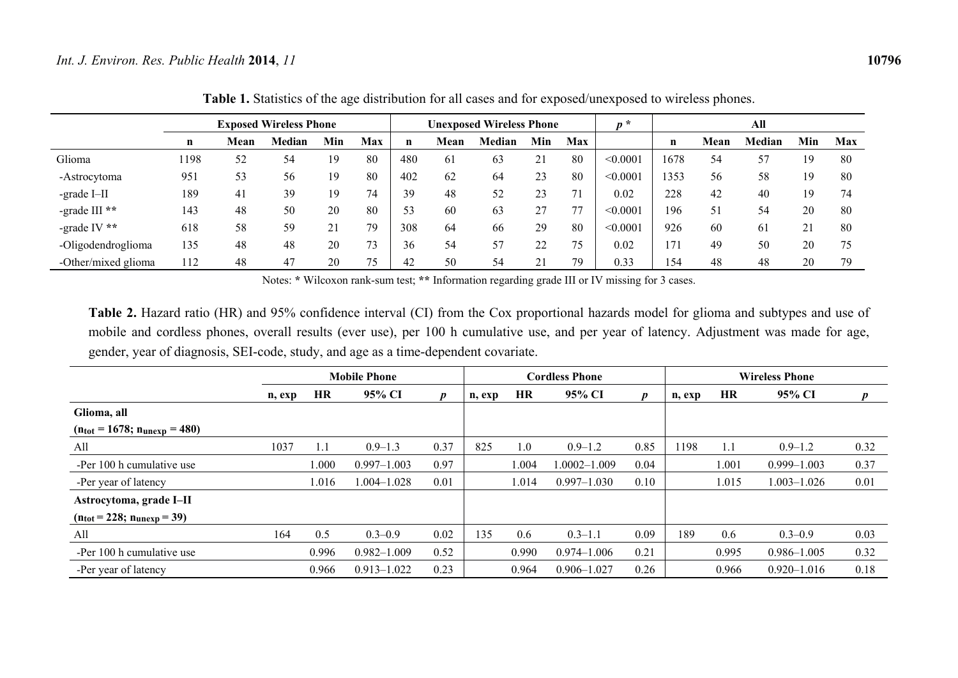|                     |      |      | <b>Exposed Wireless Phone</b> |     |     |     |      | <b>Unexposed Wireless Phone</b> |          |            | $p^*$    |             |      | All    |     |     |
|---------------------|------|------|-------------------------------|-----|-----|-----|------|---------------------------------|----------|------------|----------|-------------|------|--------|-----|-----|
|                     | n    | Mean | Median                        | Min | Max | n   | Mean | Median                          | Min      | <b>Max</b> |          | $\mathbf n$ | Mean | Median | Min | Max |
| Glioma              | 1198 | 52   | 54                            | 19  | 80  | 480 | 61   | 63                              | $\angle$ | 80         | < 0.0001 | 1678        | 54   | -57    | 19  | 80  |
| -Astrocytoma        | 951  | 53   | 56                            | 19  | 80  | 402 | 62   | 64                              | 23       | 80         | < 0.0001 | 1353        | 56   | 58     | 19  | 80  |
| -grade I-II         | 189  | 41   | 39                            | 19  | 74  | 39  | 48   | 52                              | 23       | 71         | 0.02     | 228         | 42   | 40     | 19  | 74  |
| -grade III $**$     | 143  | 48   | 50                            | 20  | 80  | 53  | 60   | 63                              |          | 77         | < 0.0001 | 196         | 51   | 54     | 20  | 80  |
| -grade IV $**$      | 618  | 58   | 59                            | 21  | 79  | 308 | 64   | 66                              | 29       | 80         | < 0.0001 | 926         | 60   | 61     | 21  | 80  |
| -Oligodendroglioma  | 135  | 48   | 48                            | 20  | 73  | 36  | 54   | 57                              | 22       | 75         | 0.02     | 171         | 49   | 50     | 20  | 75  |
| -Other/mixed glioma | 112  | 48   | 47                            | 20  | 75  | 42  | 50   | 54                              | ∠⊥       | 79         | 0.33     | 154         | 48   | 48     | 20  | 79  |

**Table 1.** Statistics of the age distribution for all cases and for exposed/unexposed to wireless phones.

Notes: **\*** Wilcoxon rank-sum test; **\*\*** Information regarding grade III or IV missing for 3 cases.

**Table 2.** Hazard ratio (HR) and 95% confidence interval (CI) from the Cox proportional hazards model for glioma and subtypes and use of mobile and cordless phones, overall results (ever use), per 100 h cumulative use, and per year of latency. Adjustment was made for age, gender, year of diagnosis, SEI-code, study, and age as a time-dependent covariate.

|                                                   | <b>Mobile Phone</b> |           |                 |                  |        |       | <b>Cordless Phone</b> |      | <b>Wireless Phone</b> |           |                 |      |  |
|---------------------------------------------------|---------------------|-----------|-----------------|------------------|--------|-------|-----------------------|------|-----------------------|-----------|-----------------|------|--|
|                                                   | n, exp              | <b>HR</b> | 95% CI          | $\boldsymbol{p}$ | n, exp | HR    | 95% CI                | D    | n, exp                | <b>HR</b> | 95% CI          |      |  |
| Glioma, all                                       |                     |           |                 |                  |        |       |                       |      |                       |           |                 |      |  |
| $(n_{\text{tot}} = 1678; n_{\text{unexp}} = 480)$ |                     |           |                 |                  |        |       |                       |      |                       |           |                 |      |  |
| All                                               | 1037                | 1.1       | $0.9 - 1.3$     | 0.37             | 825    | 1.0   | $0.9 - 1.2$           | 0.85 | 1198                  | 1.1       | $0.9 - 1.2$     | 0.32 |  |
| -Per 100 h cumulative use                         |                     | .000      | $0.997 - 1.003$ | 0.97             |        | 1.004 | $.0002 - 1.009$       | 0.04 |                       | 1.001     | $0.999 - 1.003$ | 0.37 |  |
| -Per year of latency                              |                     | 1.016     | $.004 - 1.028$  | 0.01             |        | 1.014 | $0.997 - 1.030$       | 0.10 |                       | 1.015     | 1.003-1.026     | 0.01 |  |
| Astrocytoma, grade I-II                           |                     |           |                 |                  |        |       |                       |      |                       |           |                 |      |  |
| $(n_{\text{tot}} = 228; n_{\text{unexp}} = 39)$   |                     |           |                 |                  |        |       |                       |      |                       |           |                 |      |  |
| All                                               | 164                 | 0.5       | $0.3 - 0.9$     | 0.02             | 135    | 0.6   | $0.3 - 1.1$           | 0.09 | 189                   | 0.6       | $0.3 - 0.9$     | 0.03 |  |
| -Per 100 h cumulative use                         |                     | 0.996     | $0.982 - 1.009$ | 0.52             |        | 0.990 | $0.974 - 1.006$       | 0.21 |                       | 0.995     | $0.986 - 1.005$ | 0.32 |  |
| -Per year of latency                              |                     | 0.966     | $0.913 - 1.022$ | 0.23             |        | 0.964 | $0.906 - 1.027$       | 0.26 |                       | 0.966     | $0.920 - 1.016$ | 0.18 |  |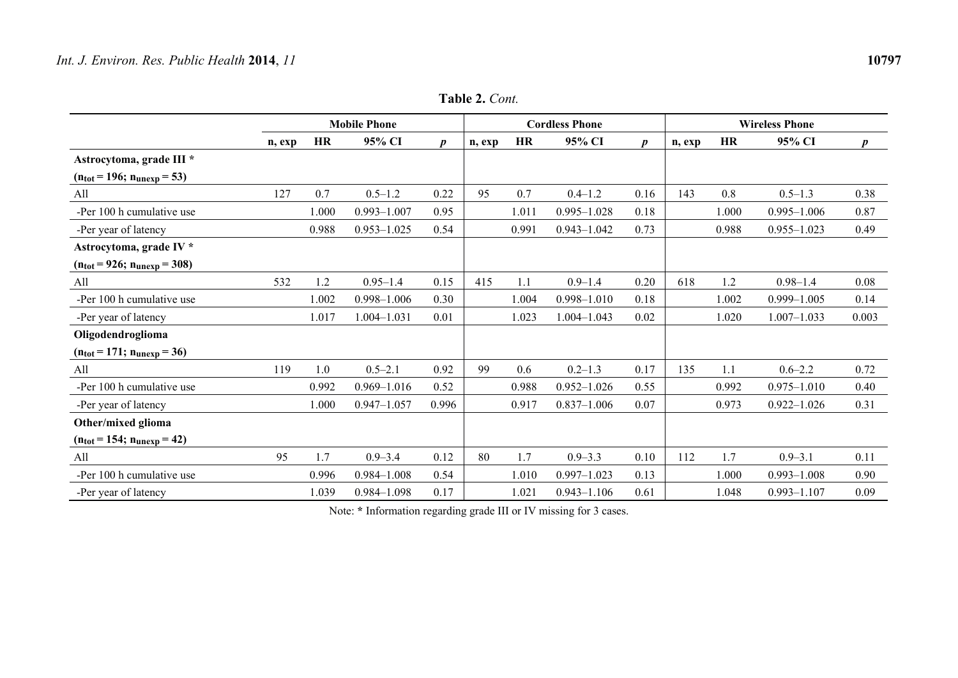|                                                  |        |           | <b>Mobile Phone</b> |                  |        |       | <b>Cordless Phone</b> |                  | <b>Wireless Phone</b> |           |                 |                  |
|--------------------------------------------------|--------|-----------|---------------------|------------------|--------|-------|-----------------------|------------------|-----------------------|-----------|-----------------|------------------|
|                                                  | n, exp | <b>HR</b> | 95% CI              | $\boldsymbol{p}$ | n, exp | HR    | 95% CI                | $\boldsymbol{p}$ | n, exp                | <b>HR</b> | 95% CI          | $\boldsymbol{p}$ |
| Astrocytoma, grade III *                         |        |           |                     |                  |        |       |                       |                  |                       |           |                 |                  |
| $(n_{\text{tot}} = 196; n_{\text{unexp}} = 53)$  |        |           |                     |                  |        |       |                       |                  |                       |           |                 |                  |
| All                                              | 127    | 0.7       | $0.5 - 1.2$         | 0.22             | 95     | 0.7   | $0.4 - 1.2$           | 0.16             | 143                   | 0.8       | $0.5 - 1.3$     | 0.38             |
| -Per 100 h cumulative use                        |        | 1.000     | $0.993 - 1.007$     | 0.95             |        | 1.011 | $0.995 - 1.028$       | 0.18             |                       | 1.000     | $0.995 - 1.006$ | 0.87             |
| -Per year of latency                             |        | 0.988     | $0.953 - 1.025$     | 0.54             |        | 0.991 | $0.943 - 1.042$       | 0.73             |                       | 0.988     | $0.955 - 1.023$ | 0.49             |
| Astrocytoma, grade IV *                          |        |           |                     |                  |        |       |                       |                  |                       |           |                 |                  |
| $(n_{\text{tot}} = 926; n_{\text{unexp}} = 308)$ |        |           |                     |                  |        |       |                       |                  |                       |           |                 |                  |
| All                                              | 532    | 1.2       | $0.95 - 1.4$        | 0.15             | 415    | 1.1   | $0.9 - 1.4$           | 0.20             | 618                   | 1.2       | $0.98 - 1.4$    | 0.08             |
| -Per 100 h cumulative use                        |        | 1.002     | $0.998 - 1.006$     | 0.30             |        | 1.004 | $0.998 - 1.010$       | 0.18             |                       | 1.002     | $0.999 - 1.005$ | 0.14             |
| -Per year of latency                             |        | 1.017     | 1.004-1.031         | 0.01             |        | 1.023 | 1.004-1.043           | 0.02             |                       | 1.020     | $1.007 - 1.033$ | 0.003            |
| Oligodendroglioma                                |        |           |                     |                  |        |       |                       |                  |                       |           |                 |                  |
| $(n_{\text{tot}} = 171; n_{\text{unexp}} = 36)$  |        |           |                     |                  |        |       |                       |                  |                       |           |                 |                  |
| All                                              | 119    | 1.0       | $0.5 - 2.1$         | 0.92             | 99     | 0.6   | $0.2 - 1.3$           | 0.17             | 135                   | 1.1       | $0.6 - 2.2$     | 0.72             |
| -Per 100 h cumulative use                        |        | 0.992     | $0.969 - 1.016$     | 0.52             |        | 0.988 | $0.952 - 1.026$       | 0.55             |                       | 0.992     | $0.975 - 1.010$ | 0.40             |
| -Per year of latency                             |        | 1.000     | $0.947 - 1.057$     | 0.996            |        | 0.917 | $0.837 - 1.006$       | 0.07             |                       | 0.973     | $0.922 - 1.026$ | 0.31             |
| Other/mixed glioma                               |        |           |                     |                  |        |       |                       |                  |                       |           |                 |                  |
| $(n_{\text{tot}} = 154; n_{\text{unexp}} = 42)$  |        |           |                     |                  |        |       |                       |                  |                       |           |                 |                  |
| All                                              | 95     | 1.7       | $0.9 - 3.4$         | 0.12             | 80     | 1.7   | $0.9 - 3.3$           | 0.10             | 112                   | 1.7       | $0.9 - 3.1$     | 0.11             |
| -Per 100 h cumulative use                        |        | 0.996     | $0.984 - 1.008$     | 0.54             |        | 1.010 | $0.997 - 1.023$       | 0.13             |                       | 1.000     | $0.993 - 1.008$ | 0.90             |
| -Per year of latency                             |        | 1.039     | 0.984-1.098         | 0.17             |        | 1.021 | $0.943 - 1.106$       | 0.61             |                       | 1.048     | $0.993 - 1.107$ | 0.09             |

**Table 2.** *Cont.*

Note: **\*** Information regarding grade III or IV missing for 3 cases.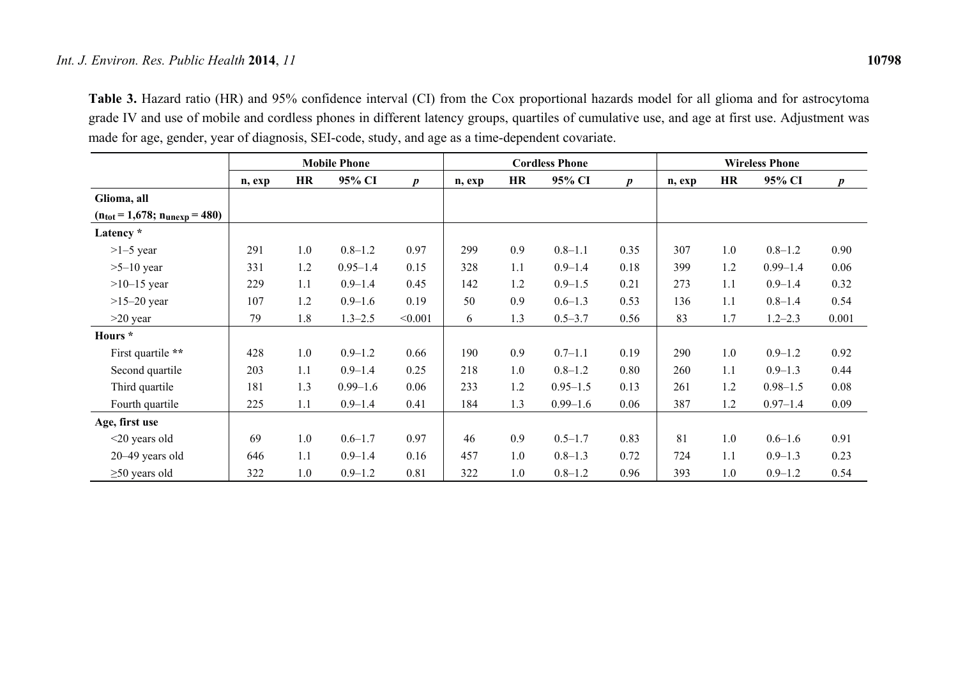**Table 3.** Hazard ratio (HR) and 95% confidence interval (CI) from the Cox proportional hazards model for all glioma and for astrocytoma grade IV and use of mobile and cordless phones in different latency groups, quartiles of cumulative use, and age at first use. Adjustment was made for age, gender, year of diagnosis, SEI-code, study, and age as a time-dependent covariate.

|                                                    |        |           | <b>Mobile Phone</b> |                  |        |           | <b>Cordless Phone</b> |                  | <b>Wireless Phone</b> |           |              |                  |
|----------------------------------------------------|--------|-----------|---------------------|------------------|--------|-----------|-----------------------|------------------|-----------------------|-----------|--------------|------------------|
|                                                    | n, exp | <b>HR</b> | 95% CI              | $\boldsymbol{p}$ | n, exp | <b>HR</b> | 95% CI                | $\boldsymbol{p}$ | n, exp                | <b>HR</b> | 95% CI       | $\boldsymbol{p}$ |
| Glioma, all                                        |        |           |                     |                  |        |           |                       |                  |                       |           |              |                  |
| $(n_{\text{tot}} = 1,678; n_{\text{unexp}} = 480)$ |        |           |                     |                  |        |           |                       |                  |                       |           |              |                  |
| Latency *                                          |        |           |                     |                  |        |           |                       |                  |                       |           |              |                  |
| $>1-5$ year                                        | 291    | 1.0       | $0.8 - 1.2$         | 0.97             | 299    | 0.9       | $0.8 - 1.1$           | 0.35             | 307                   | 1.0       | $0.8 - 1.2$  | 0.90             |
| $>5-10$ year                                       | 331    | 1.2       | $0.95 - 1.4$        | 0.15             | 328    | 1.1       | $0.9 - 1.4$           | 0.18             | 399                   | 1.2       | $0.99 - 1.4$ | 0.06             |
| $>10-15$ year                                      | 229    | 1.1       | $0.9 - 1.4$         | 0.45             | 142    | 1.2       | $0.9 - 1.5$           | 0.21             | 273                   | 1.1       | $0.9 - 1.4$  | 0.32             |
| $>15-20$ year                                      | 107    | 1.2       | $0.9 - 1.6$         | 0.19             | 50     | 0.9       | $0.6 - 1.3$           | 0.53             | 136                   | 1.1       | $0.8 - 1.4$  | 0.54             |
| $>20$ year                                         | 79     | 1.8       | $1.3 - 2.5$         | < 0.001          | 6      | 1.3       | $0.5 - 3.7$           | 0.56             | 83                    | 1.7       | $1.2 - 2.3$  | 0.001            |
| Hours *                                            |        |           |                     |                  |        |           |                       |                  |                       |           |              |                  |
| First quartile **                                  | 428    | 1.0       | $0.9 - 1.2$         | 0.66             | 190    | 0.9       | $0.7 - 1.1$           | 0.19             | 290                   | 1.0       | $0.9 - 1.2$  | 0.92             |
| Second quartile                                    | 203    | 1.1       | $0.9 - 1.4$         | 0.25             | 218    | 1.0       | $0.8 - 1.2$           | 0.80             | 260                   | 1.1       | $0.9 - 1.3$  | 0.44             |
| Third quartile                                     | 181    | 1.3       | $0.99 - 1.6$        | 0.06             | 233    | 1.2       | $0.95 - 1.5$          | 0.13             | 261                   | 1.2       | $0.98 - 1.5$ | 0.08             |
| Fourth quartile                                    | 225    | 1.1       | $0.9 - 1.4$         | 0.41             | 184    | 1.3       | $0.99 - 1.6$          | 0.06             | 387                   | 1.2       | $0.97 - 1.4$ | 0.09             |
| Age, first use                                     |        |           |                     |                  |        |           |                       |                  |                       |           |              |                  |
| $\leq$ 20 years old                                | 69     | 1.0       | $0.6 - 1.7$         | 0.97             | 46     | 0.9       | $0.5 - 1.7$           | 0.83             | 81                    | 1.0       | $0.6 - 1.6$  | 0.91             |
| $20-49$ years old                                  | 646    | 1.1       | $0.9 - 1.4$         | 0.16             | 457    | 1.0       | $0.8 - 1.3$           | 0.72             | 724                   | 1.1       | $0.9 - 1.3$  | 0.23             |
| $\geq$ 50 years old                                | 322    | 1.0       | $0.9 - 1.2$         | 0.81             | 322    | 1.0       | $0.8 - 1.2$           | 0.96             | 393                   | 1.0       | $0.9 - 1.2$  | 0.54             |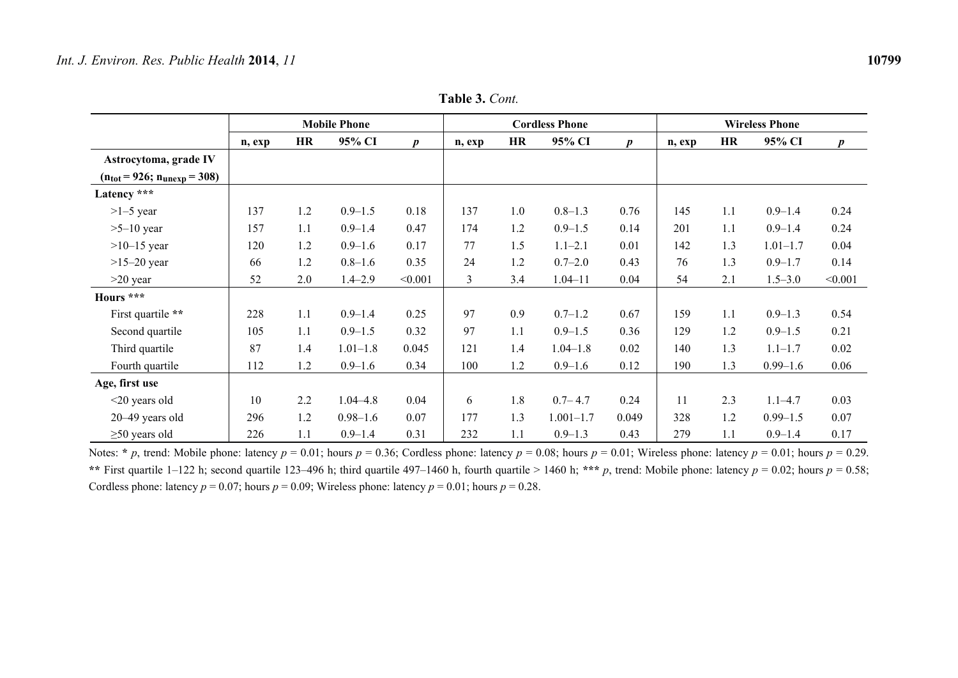|                                    |        |           | <b>Mobile Phone</b> |                  |        |     | <b>Cordless Phone</b> |                  | <b>Wireless Phone</b> |           |              |                  |  |
|------------------------------------|--------|-----------|---------------------|------------------|--------|-----|-----------------------|------------------|-----------------------|-----------|--------------|------------------|--|
|                                    | n, exp | <b>HR</b> | 95% CI              | $\boldsymbol{p}$ | n, exp | HR  | 95% CI                | $\boldsymbol{p}$ | n, exp                | <b>HR</b> | 95% CI       | $\boldsymbol{p}$ |  |
| Astrocytoma, grade IV              |        |           |                     |                  |        |     |                       |                  |                       |           |              |                  |  |
| $(n_{tot} = 926; n_{unexp} = 308)$ |        |           |                     |                  |        |     |                       |                  |                       |           |              |                  |  |
| Latency ***                        |        |           |                     |                  |        |     |                       |                  |                       |           |              |                  |  |
| $>1-5$ year                        | 137    | 1.2       | $0.9 - 1.5$         | 0.18             | 137    | 1.0 | $0.8 - 1.3$           | 0.76             | 145                   | 1.1       | $0.9 - 1.4$  | 0.24             |  |
| $>5-10$ year                       | 157    | 1.1       | $0.9 - 1.4$         | 0.47             | 174    | 1.2 | $0.9 - 1.5$           | 0.14             | 201                   | 1.1       | $0.9 - 1.4$  | 0.24             |  |
| $>10-15$ year                      | 120    | 1.2       | $0.9 - 1.6$         | 0.17             | 77     | 1.5 | $1.1 - 2.1$           | 0.01             | 142                   | 1.3       | $1.01 - 1.7$ | 0.04             |  |
| $>15-20$ year                      | 66     | 1.2       | $0.8 - 1.6$         | 0.35             | 24     | 1.2 | $0.7 - 2.0$           | 0.43             | 76                    | 1.3       | $0.9 - 1.7$  | 0.14             |  |
| $>20$ year                         | 52     | 2.0       | $1.4 - 2.9$         | < 0.001          | 3      | 3.4 | $1.04 - 11$           | 0.04             | 54                    | 2.1       | $1.5 - 3.0$  | < 0.001          |  |
| Hours ***                          |        |           |                     |                  |        |     |                       |                  |                       |           |              |                  |  |
| First quartile **                  | 228    | 1.1       | $0.9 - 1.4$         | 0.25             | 97     | 0.9 | $0.7 - 1.2$           | 0.67             | 159                   | 1.1       | $0.9 - 1.3$  | 0.54             |  |
| Second quartile                    | 105    | 1.1       | $0.9 - 1.5$         | 0.32             | 97     | 1.1 | $0.9 - 1.5$           | 0.36             | 129                   | 1.2       | $0.9 - 1.5$  | 0.21             |  |
| Third quartile                     | 87     | 1.4       | $1.01 - 1.8$        | 0.045            | 121    | 1.4 | $1.04 - 1.8$          | 0.02             | 140                   | 1.3       | $1.1 - 1.7$  | 0.02             |  |
| Fourth quartile                    | 112    | 1.2       | $0.9 - 1.6$         | 0.34             | 100    | 1.2 | $0.9 - 1.6$           | 0.12             | 190                   | 1.3       | $0.99 - 1.6$ | 0.06             |  |
| Age, first use                     |        |           |                     |                  |        |     |                       |                  |                       |           |              |                  |  |
| $<$ 20 years old                   | 10     | 2.2       | $1.04 - 4.8$        | 0.04             | 6      | 1.8 | $0.7 - 4.7$           | 0.24             | 11                    | 2.3       | $1.1 - 4.7$  | 0.03             |  |
| 20-49 years old                    | 296    | 1.2       | $0.98 - 1.6$        | 0.07             | 177    | 1.3 | $1.001 - 1.7$         | 0.049            | 328                   | 1.2       | $0.99 - 1.5$ | 0.07             |  |
| $\geq$ 50 years old                | 226    | 1.1       | $0.9 - 1.4$         | 0.31             | 232    | 1.1 | $0.9 - 1.3$           | 0.43             | 279                   | 1.1       | $0.9 - 1.4$  | 0.17             |  |

**Table 3.** *Cont.*

Notes: \* *p*, trend: Mobile phone: latency  $p = 0.01$ ; hours  $p = 0.36$ ; Cordless phone: latency  $p = 0.08$ ; hours  $p = 0.01$ ; Wireless phone: latency  $p = 0.01$ ; hours  $p = 0.29$ . \*\* First quartile 1–122 h; second quartile 123–496 h; third quartile 497–1460 h, fourth quartile > 1460 h; \*\*\* *p*, trend: Mobile phone: latency  $p = 0.02$ ; hours  $p = 0.58$ ; Cordless phone: latency  $p = 0.07$ ; hours  $p = 0.09$ ; Wireless phone: latency  $p = 0.01$ ; hours  $p = 0.28$ .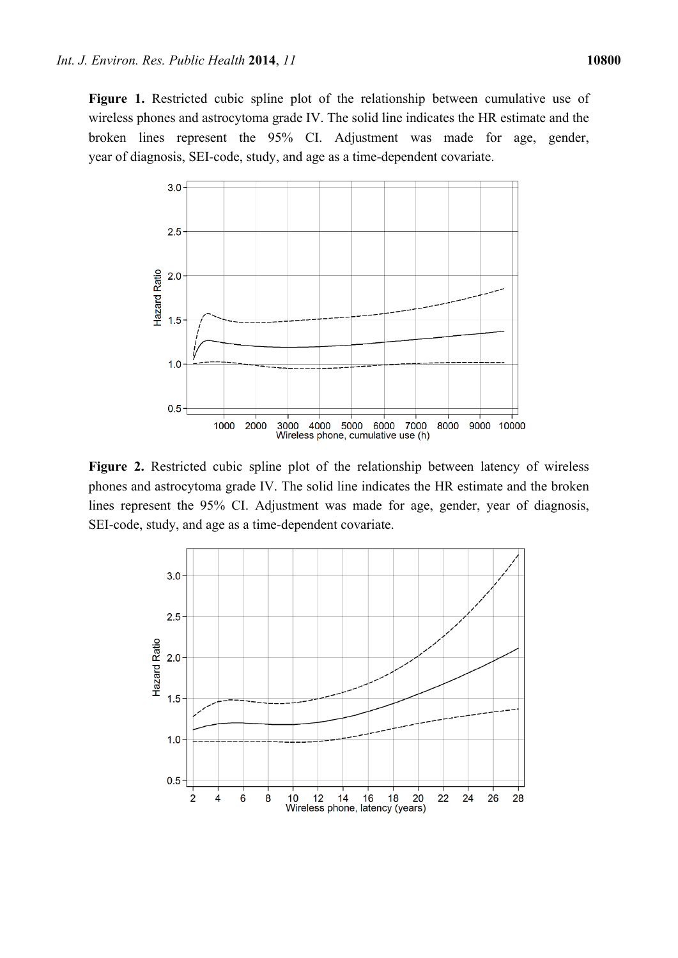**Figure 1.** Restricted cubic spline plot of the relationship between cumulative use of wireless phones and astrocytoma grade IV. The solid line indicates the HR estimate and the broken lines represent the 95% CI. Adjustment was made for age, gender, year of diagnosis, SEI-code, study, and age as a time-dependent covariate.



**Figure 2.** Restricted cubic spline plot of the relationship between latency of wireless phones and astrocytoma grade IV. The solid line indicates the HR estimate and the broken lines represent the 95% CI. Adjustment was made for age, gender, year of diagnosis, SEI-code, study, and age as a time-dependent covariate.

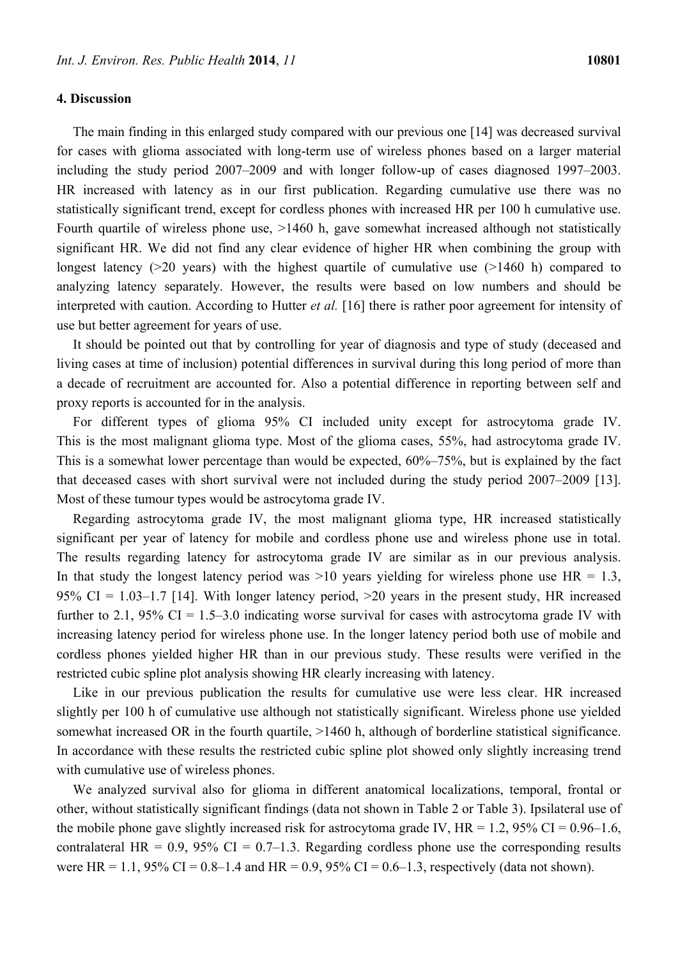# **4. Discussion**

The main finding in this enlarged study compared with our previous one [14] was decreased survival for cases with glioma associated with long-term use of wireless phones based on a larger material including the study period 2007–2009 and with longer follow-up of cases diagnosed 1997–2003. HR increased with latency as in our first publication. Regarding cumulative use there was no statistically significant trend, except for cordless phones with increased HR per 100 h cumulative use. Fourth quartile of wireless phone use,  $>1460$  h, gave somewhat increased although not statistically significant HR. We did not find any clear evidence of higher HR when combining the group with longest latency (>20 years) with the highest quartile of cumulative use (>1460 h) compared to analyzing latency separately. However, the results were based on low numbers and should be interpreted with caution. According to Hutter *et al.* [16] there is rather poor agreement for intensity of use but better agreement for years of use.

It should be pointed out that by controlling for year of diagnosis and type of study (deceased and living cases at time of inclusion) potential differences in survival during this long period of more than a decade of recruitment are accounted for. Also a potential difference in reporting between self and proxy reports is accounted for in the analysis.

For different types of glioma 95% CI included unity except for astrocytoma grade IV. This is the most malignant glioma type. Most of the glioma cases, 55%, had astrocytoma grade IV. This is a somewhat lower percentage than would be expected, 60%–75%, but is explained by the fact that deceased cases with short survival were not included during the study period 2007–2009 [13]. Most of these tumour types would be astrocytoma grade IV.

Regarding astrocytoma grade IV, the most malignant glioma type, HR increased statistically significant per year of latency for mobile and cordless phone use and wireless phone use in total. The results regarding latency for astrocytoma grade IV are similar as in our previous analysis. In that study the longest latency period was  $>10$  years yielding for wireless phone use HR = 1.3, 95% CI =  $1.03-1.7$  [14]. With longer latency period,  $>20$  years in the present study, HR increased further to 2.1, 95% CI = 1.5–3.0 indicating worse survival for cases with astrocytoma grade IV with increasing latency period for wireless phone use. In the longer latency period both use of mobile and cordless phones yielded higher HR than in our previous study. These results were verified in the restricted cubic spline plot analysis showing HR clearly increasing with latency.

Like in our previous publication the results for cumulative use were less clear. HR increased slightly per 100 h of cumulative use although not statistically significant. Wireless phone use yielded somewhat increased OR in the fourth quartile,  $>1460$  h, although of borderline statistical significance. In accordance with these results the restricted cubic spline plot showed only slightly increasing trend with cumulative use of wireless phones.

We analyzed survival also for glioma in different anatomical localizations, temporal, frontal or other, without statistically significant findings (data not shown in Table 2 or Table 3). Ipsilateral use of the mobile phone gave slightly increased risk for astrocytoma grade IV,  $HR = 1.2$ , 95% CI = 0.96–1.6, contralateral HR =  $0.9$ ,  $95\%$  CI =  $0.7-1.3$ . Regarding cordless phone use the corresponding results were HR = 1.1, 95% CI = 0.8–1.4 and HR = 0.9, 95% CI = 0.6–1.3, respectively (data not shown).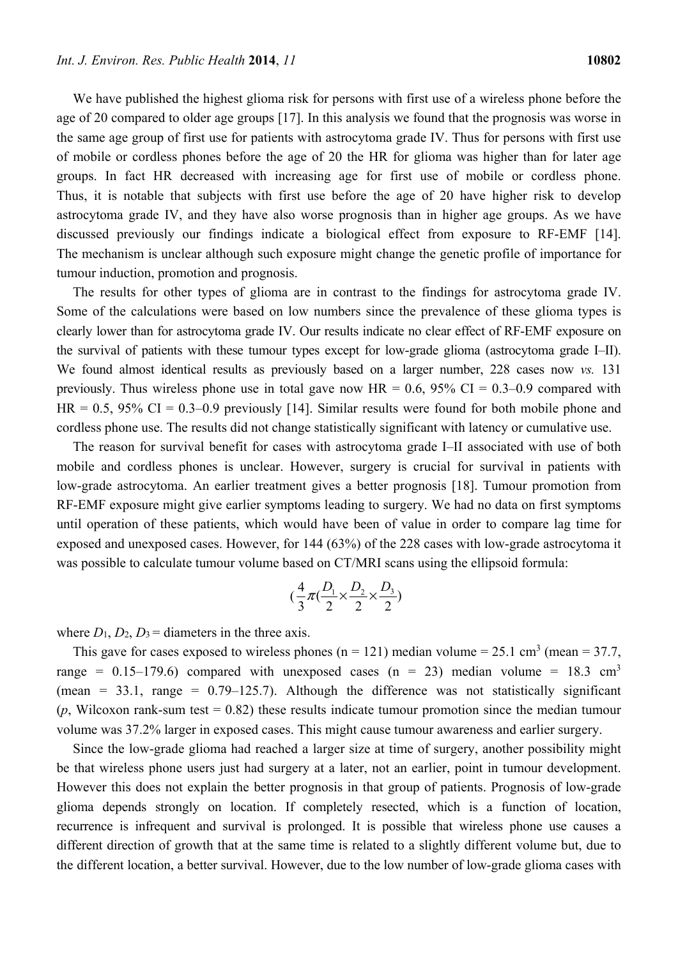We have published the highest glioma risk for persons with first use of a wireless phone before the age of 20 compared to older age groups [17]. In this analysis we found that the prognosis was worse in the same age group of first use for patients with astrocytoma grade IV. Thus for persons with first use of mobile or cordless phones before the age of 20 the HR for glioma was higher than for later age groups. In fact HR decreased with increasing age for first use of mobile or cordless phone. Thus, it is notable that subjects with first use before the age of 20 have higher risk to develop astrocytoma grade IV, and they have also worse prognosis than in higher age groups. As we have discussed previously our findings indicate a biological effect from exposure to RF-EMF [14]. The mechanism is unclear although such exposure might change the genetic profile of importance for tumour induction, promotion and prognosis.

The results for other types of glioma are in contrast to the findings for astrocytoma grade IV. Some of the calculations were based on low numbers since the prevalence of these glioma types is clearly lower than for astrocytoma grade IV. Our results indicate no clear effect of RF-EMF exposure on the survival of patients with these tumour types except for low-grade glioma (astrocytoma grade I–II). We found almost identical results as previously based on a larger number, 228 cases now *vs.* 131 previously. Thus wireless phone use in total gave now  $HR = 0.6$ , 95% CI = 0.3–0.9 compared with  $HR = 0.5$ , 95% CI = 0.3–0.9 previously [14]. Similar results were found for both mobile phone and cordless phone use. The results did not change statistically significant with latency or cumulative use.

The reason for survival benefit for cases with astrocytoma grade I–II associated with use of both mobile and cordless phones is unclear. However, surgery is crucial for survival in patients with low-grade astrocytoma. An earlier treatment gives a better prognosis [18]. Tumour promotion from RF-EMF exposure might give earlier symptoms leading to surgery. We had no data on first symptoms until operation of these patients, which would have been of value in order to compare lag time for exposed and unexposed cases. However, for 144 (63%) of the 228 cases with low-grade astrocytoma it was possible to calculate tumour volume based on CT/MRI scans using the ellipsoid formula:

$$
(\frac{4}{3}\pi(\frac{D_1}{2}\times\frac{D_2}{2}\times\frac{D_3}{2})
$$

where  $D_1$ ,  $D_2$ ,  $D_3$  = diameters in the three axis.

This gave for cases exposed to wireless phones ( $n = 121$ ) median volume = 25.1 cm<sup>3</sup> (mean = 37.7, range =  $0.15-179.6$ ) compared with unexposed cases (n = 23) median volume = 18.3 cm<sup>3</sup> (mean =  $33.1$ , range =  $0.79-125.7$ ). Although the difference was not statistically significant  $(p,$  Wilcoxon rank-sum test  $= 0.82$ ) these results indicate tumour promotion since the median tumour volume was 37.2% larger in exposed cases. This might cause tumour awareness and earlier surgery.

Since the low-grade glioma had reached a larger size at time of surgery, another possibility might be that wireless phone users just had surgery at a later, not an earlier, point in tumour development. However this does not explain the better prognosis in that group of patients. Prognosis of low-grade glioma depends strongly on location. If completely resected, which is a function of location, recurrence is infrequent and survival is prolonged. It is possible that wireless phone use causes a different direction of growth that at the same time is related to a slightly different volume but, due to the different location, a better survival. However, due to the low number of low-grade glioma cases with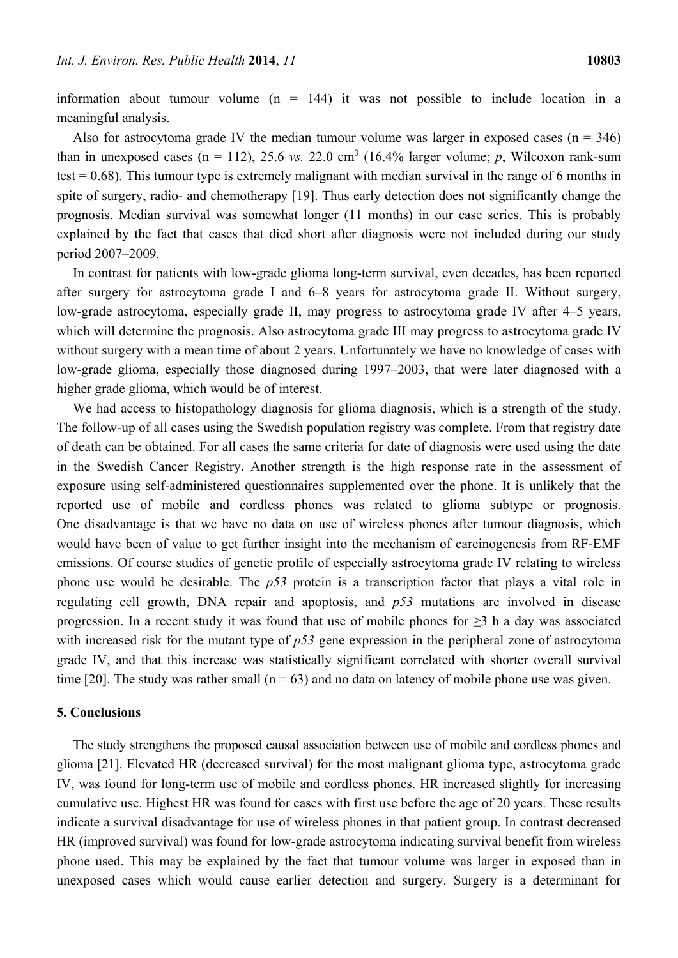information about tumour volume  $(n = 144)$  it was not possible to include location in a meaningful analysis.

Also for astrocytoma grade IV the median tumour volume was larger in exposed cases  $(n = 346)$ than in unexposed cases ( $n = 112$ ), 25.6 *vs.* 22.0 cm<sup>3</sup> (16.4% larger volume; *p*, Wilcoxon rank-sum test  $= 0.68$ ). This tumour type is extremely malignant with median survival in the range of 6 months in spite of surgery, radio- and chemotherapy [19]. Thus early detection does not significantly change the prognosis. Median survival was somewhat longer (11 months) in our case series. This is probably explained by the fact that cases that died short after diagnosis were not included during our study period 2007–2009.

In contrast for patients with low-grade glioma long-term survival, even decades, has been reported after surgery for astrocytoma grade I and 6–8 years for astrocytoma grade II. Without surgery, low-grade astrocytoma, especially grade II, may progress to astrocytoma grade IV after 4–5 years, which will determine the prognosis. Also astrocytoma grade III may progress to astrocytoma grade IV without surgery with a mean time of about 2 years. Unfortunately we have no knowledge of cases with low-grade glioma, especially those diagnosed during 1997–2003, that were later diagnosed with a higher grade glioma, which would be of interest.

We had access to histopathology diagnosis for glioma diagnosis, which is a strength of the study. The follow-up of all cases using the Swedish population registry was complete. From that registry date of death can be obtained. For all cases the same criteria for date of diagnosis were used using the date in the Swedish Cancer Registry. Another strength is the high response rate in the assessment of exposure using self-administered questionnaires supplemented over the phone. It is unlikely that the reported use of mobile and cordless phones was related to glioma subtype or prognosis. One disadvantage is that we have no data on use of wireless phones after tumour diagnosis, which would have been of value to get further insight into the mechanism of carcinogenesis from RF-EMF emissions. Of course studies of genetic profile of especially astrocytoma grade IV relating to wireless phone use would be desirable. The *p53* protein is a transcription factor that plays a vital role in regulating cell growth, DNA repair and apoptosis, and *p53* mutations are involved in disease progression. In a recent study it was found that use of mobile phones for  $\geq$ 3 h a day was associated with increased risk for the mutant type of *p53* gene expression in the peripheral zone of astrocytoma grade IV, and that this increase was statistically significant correlated with shorter overall survival time [20]. The study was rather small ( $n = 63$ ) and no data on latency of mobile phone use was given.

## **5. Conclusions**

The study strengthens the proposed causal association between use of mobile and cordless phones and glioma [21]. Elevated HR (decreased survival) for the most malignant glioma type, astrocytoma grade IV, was found for long-term use of mobile and cordless phones. HR increased slightly for increasing cumulative use. Highest HR was found for cases with first use before the age of 20 years. These results indicate a survival disadvantage for use of wireless phones in that patient group. In contrast decreased HR (improved survival) was found for low-grade astrocytoma indicating survival benefit from wireless phone used. This may be explained by the fact that tumour volume was larger in exposed than in unexposed cases which would cause earlier detection and surgery. Surgery is a determinant for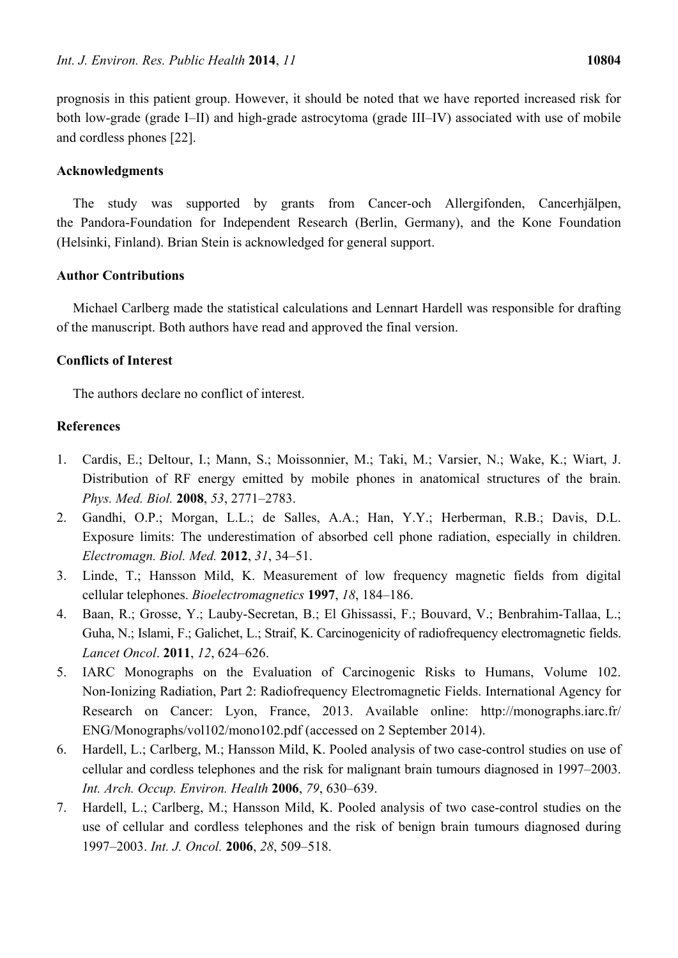prognosis in this patient group. However, it should be noted that we have reported increased risk for both low-grade (grade I–II) and high-grade astrocytoma (grade III–IV) associated with use of mobile and cordless phones [22].

# **Acknowledgments**

The study was supported by grants from Cancer-och Allergifonden, Cancerhjälpen, the Pandora-Foundation for Independent Research (Berlin, Germany), and the Kone Foundation (Helsinki, Finland). Brian Stein is acknowledged for general support.

# **Author Contributions**

Michael Carlberg made the statistical calculations and Lennart Hardell was responsible for drafting of the manuscript. Both authors have read and approved the final version.

# **Conflicts of Interest**

The authors declare no conflict of interest.

# **References**

- 1. Cardis, E.; Deltour, I.; Mann, S.; Moissonnier, M.; Taki, M.; Varsier, N.; Wake, K.; Wiart, J. Distribution of RF energy emitted by mobile phones in anatomical structures of the brain. *Phys. Med. Biol.* **2008**, *53*, 2771–2783.
- 2. Gandhi, O.P.; Morgan, L.L.; de Salles, A.A.; Han, Y.Y.; Herberman, R.B.; Davis, D.L. Exposure limits: The underestimation of absorbed cell phone radiation, especially in children. *Electromagn. Biol. Med.* **2012**, *31*, 34–51.
- 3. Linde, T.; Hansson Mild, K. Measurement of low frequency magnetic fields from digital cellular telephones. *Bioelectromagnetics* **1997**, *18*, 184–186.
- 4. Baan, R.; Grosse, Y.; Lauby-Secretan, B.; El Ghissassi, F.; Bouvard, V.; Benbrahim-Tallaa, L.; Guha, N.; Islami, F.; Galichet, L.; Straif, K. Carcinogenicity of radiofrequency electromagnetic fields. *Lancet Oncol*. **2011**, *12*, 624–626.
- 5. IARC Monographs on the Evaluation of Carcinogenic Risks to Humans, Volume 102. Non-Ionizing Radiation, Part 2: Radiofrequency Electromagnetic Fields. International Agency for Research on Cancer: Lyon, France, 2013. Available online: http://monographs.iarc.fr/ ENG/Monographs/vol102/mono102.pdf (accessed on 2 September 2014).
- 6. Hardell, L.; Carlberg, M.; Hansson Mild, K. Pooled analysis of two case-control studies on use of cellular and cordless telephones and the risk for malignant brain tumours diagnosed in 1997–2003. *Int. Arch. Occup. Environ. Health* **2006**, *79*, 630–639.
- 7. Hardell, L.; Carlberg, M.; Hansson Mild, K. Pooled analysis of two case-control studies on the use of cellular and cordless telephones and the risk of benign brain tumours diagnosed during 1997–2003. *Int. J. Oncol.* **2006**, *28*, 509–518.